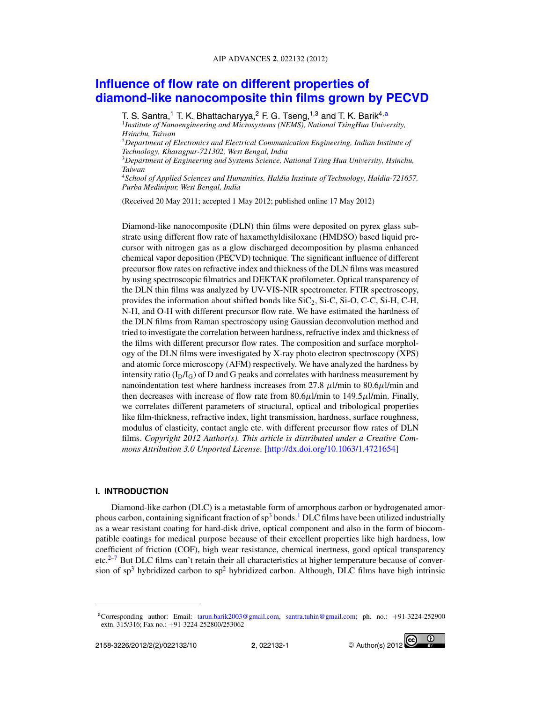# **Influence of flow rate on different properties of diamond-like nanocomposite thin films grown by PECVD**

T. S. Santra,<sup>1</sup> T. K. Bhattacharyya,<sup>2</sup> F. G. Tseng,<sup>1,3</sup> and T. K. Barik<sup>4,a</sup>

1 *Institute of Nanoengineering and Microsystems (NEMS), National TsingHua University, Hsinchu, Taiwan* <sup>2</sup>*Department of Electronics and Electrical Communication Engineering, Indian Institute of*

*Technology, Kharagpur-721302, West Bengal, India*

<sup>3</sup>*Department of Engineering and Systems Science, National Tsing Hua University, Hsinchu, Taiwan*

<sup>4</sup>*School of Applied Sciences and Humanities, Haldia Institute of Technology, Haldia-721657, Purba Medinipur, West Bengal, India*

(Received 20 May 2011; accepted 1 May 2012; published online 17 May 2012)

Diamond-like nanocomposite (DLN) thin films were deposited on pyrex glass substrate using different flow rate of haxamethyldisiloxane (HMDSO) based liquid precursor with nitrogen gas as a glow discharged decomposition by plasma enhanced chemical vapor deposition (PECVD) technique. The significant influence of different precursor flow rates on refractive index and thickness of the DLN films was measured by using spectroscopic filmatrics and DEKTAK profilometer. Optical transparency of the DLN thin films was analyzed by UV-VIS-NIR spectrometer. FTIR spectroscopy, provides the information about shifted bonds like  $\text{SiC}_2$ ,  $\text{Si-C}$ ,  $\text{Si-O}$ ,  $\text{C-C}$ ,  $\text{Si-H}$ ,  $\text{C-H}$ , N-H, and O-H with different precursor flow rate. We have estimated the hardness of the DLN films from Raman spectroscopy using Gaussian deconvolution method and tried to investigate the correlation between hardness, refractive index and thickness of the films with different precursor flow rates. The composition and surface morphology of the DLN films were investigated by X-ray photo electron spectroscopy (XPS) and atomic force microscopy (AFM) respectively. We have analyzed the hardness by intensity ratio  $(I_D/I_G)$  of D and G peaks and correlates with hardness measurement by nanoindentation test where hardness increases from 27.8  $\mu$ l/min to 80.6 $\mu$ l/min and then decreases with increase of flow rate from  $80.6\mu$ l/min to  $149.5\mu$ l/min. Finally, we correlates different parameters of structural, optical and tribological properties like film-thickness, refractive index, light transmission, hardness, surface roughness, modulus of elasticity, contact angle etc. with different precursor flow rates of DLN films. *Copyright 2012 Author(s). This article is distributed under a Creative Commons Attribution 3.0 Unported License*. [http://dx.doi.org/10.1063/1.4721654]

#### **I. INTRODUCTION**

Diamond-like carbon (DLC) is a metastable form of amorphous carbon or hydrogenated amorphous carbon, containing significant fraction of  $sp<sup>3</sup>$  bonds.<sup>1</sup> DLC films have been utilized industrially as a wear resistant coating for hard-disk drive, optical component and also in the form of biocompatible coatings for medical purpose because of their excellent properties like high hardness, low coefficient of friction (COF), high wear resistance, chemical inertness, good optical transparency etc.<sup>2–7</sup> But DLC films can't retain their all characteristics at higher temperature because of conversion of  $sp<sup>3</sup>$  hybridized carbon to  $sp<sup>2</sup>$  hybridized carbon. Although, DLC films have high intrinsic



<sup>a</sup>Corresponding author: Email: tarun.barik2003@gmail.com, santra.tuhin@gmail.com; ph. no.: +91-3224-252900 extn. 315/316; Fax no.: +91-3224-252800/253062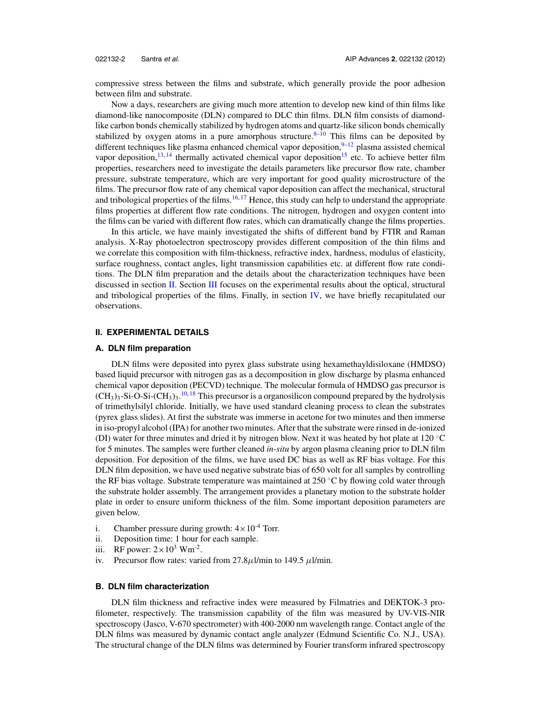compressive stress between the films and substrate, which generally provide the poor adhesion between film and substrate.

Now a days, researchers are giving much more attention to develop new kind of thin films like diamond-like nanocomposite (DLN) compared to DLC thin films. DLN film consists of diamondlike carbon bonds chemically stabilized by hydrogen atoms and quartz-like silicon bonds chemically stabilized by oxygen atoms in a pure amorphous structure. $8-10$  This films can be deposited by different techniques like plasma enhanced chemical vapor deposition, $9-12$  plasma assisted chemical vapor deposition, $13,14$  thermally activated chemical vapor deposition<sup>15</sup> etc. To achieve better film properties, researchers need to investigate the details parameters like precursor flow rate, chamber pressure, substrate temperature, which are very important for good quality microstructure of the films. The precursor flow rate of any chemical vapor deposition can affect the mechanical, structural and tribological properties of the films.<sup>16, 17</sup> Hence, this study can help to understand the appropriate films properties at different flow rate conditions. The nitrogen, hydrogen and oxygen content into the films can be varied with different flow rates, which can dramatically change the films properties.

In this article, we have mainly investigated the shifts of different band by FTIR and Raman analysis. X-Ray photoelectron spectroscopy provides different composition of the thin films and we correlate this composition with film-thickness, refractive index, hardness, modulus of elasticity, surface roughness, contact angles, light transmission capabilities etc. at different flow rate conditions. The DLN film preparation and the details about the characterization techniques have been discussed in section II. Section III focuses on the experimental results about the optical, structural and tribological properties of the films. Finally, in section IV, we have briefly recapitulated our observations.

## **II. EXPERIMENTAL DETAILS**

#### **A. DLN film preparation**

DLN films were deposited into pyrex glass substrate using hexamethayldisiloxane (HMDSO) based liquid precursor with nitrogen gas as a decomposition in glow discharge by plasma enhanced chemical vapor deposition (PECVD) technique. The molecular formula of HMDSO gas precursor is  $(CH_3)_3$ -Si-O-Si- $(CH_3)_3$ .<sup>10, 18</sup> This precursor is a organosilicon compound prepared by the hydrolysis of trimethylsilyl chloride. Initially, we have used standard cleaning process to clean the substrates (pyrex glass slides). At first the substrate was immerse in acetone for two minutes and then immerse in iso-propyl alcohol (IPA) for another two minutes. After that the substrate were rinsed in de-ionized (DI) water for three minutes and dried it by nitrogen blow. Next it was heated by hot plate at 120 ◦C for 5 minutes. The samples were further cleaned *in-situ* by argon plasma cleaning prior to DLN film deposition. For deposition of the films, we have used DC bias as well as RF bias voltage. For this DLN film deposition, we have used negative substrate bias of 650 volt for all samples by controlling the RF bias voltage. Substrate temperature was maintained at 250  $\degree$ C by flowing cold water through the substrate holder assembly. The arrangement provides a planetary motion to the substrate holder plate in order to ensure uniform thickness of the film. Some important deposition parameters are given below.

- i. Chamber pressure during growth:  $4 \times 10^{-4}$  Torr.
- ii. Deposition time: 1 hour for each sample.
- iii. RF power:  $2 \times 10^3$  Wm<sup>-2</sup>.
- iv. Precursor flow rates: varied from  $27.8\mu$ l/min to 149.5  $\mu$ l/min.

#### **B. DLN film characterization**

DLN film thickness and refractive index were measured by Filmatries and DEKTOK-3 profilometer, respectively. The transmission capability of the film was measured by UV-VIS-NIR spectroscopy (Jasco, V-670 spectrometer) with 400-2000 nm wavelength range. Contact angle of the DLN films was measured by dynamic contact angle analyzer (Edmund Scientific Co. N.J., USA). The structural change of the DLN films was determined by Fourier transform infrared spectroscopy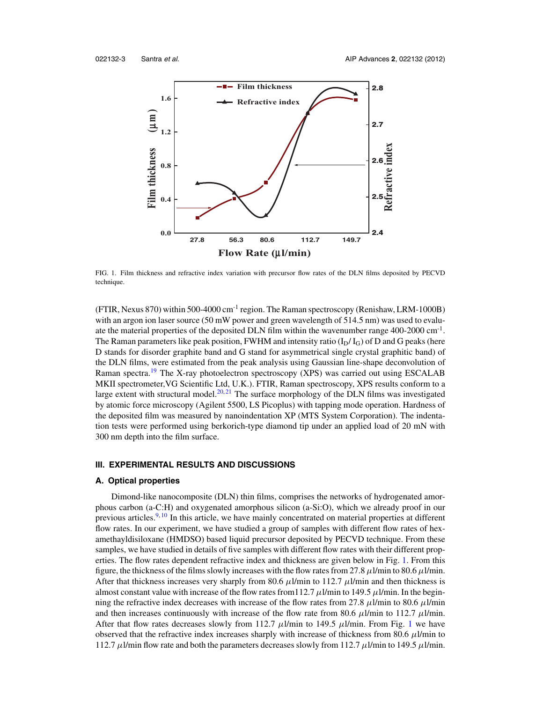

FIG. 1. Film thickness and refractive index variation with precursor flow rates of the DLN films deposited by PECVD technique.

(FTIR, Nexus 870) within 500-4000 cm-1 region. The Raman spectroscopy (Renishaw, LRM-1000B) with an argon ion laser source (50 mW power and green wavelength of 514.5 nm) was used to evaluate the material properties of the deposited DLN film within the wavenumber range 400-2000 cm<sup>-1</sup>. The Raman parameters like peak position, FWHM and intensity ratio  $(I_D/I_G)$  of D and G peaks (here D stands for disorder graphite band and G stand for asymmetrical single crystal graphitic band) of the DLN films, were estimated from the peak analysis using Gaussian line-shape deconvolution of Raman spectra.<sup>19</sup> The X-ray photoelectron spectroscopy (XPS) was carried out using ESCALAB MKII spectrometer,VG Scientific Ltd, U.K.). FTIR, Raman spectroscopy, XPS results conform to a large extent with structural model. $20,21$  The surface morphology of the DLN films was investigated by atomic force microscopy (Agilent 5500, LS Picoplus) with tapping mode operation. Hardness of the deposited film was measured by nanoindentation XP (MTS System Corporation). The indentation tests were performed using berkorich-type diamond tip under an applied load of 20 mN with 300 nm depth into the film surface.

#### **III. EXPERIMENTAL RESULTS AND DISCUSSIONS**

#### **A. Optical properties**

Dimond-like nanocomposite (DLN) thin films, comprises the networks of hydrogenated amorphous carbon (a-C:H) and oxygenated amorphous silicon (a-Si:O), which we already proof in our previous articles.9, <sup>10</sup> In this article, we have mainly concentrated on material properties at different flow rates. In our experiment, we have studied a group of samples with different flow rates of hexamethayldisiloxane (HMDSO) based liquid precursor deposited by PECVD technique. From these samples, we have studied in details of five samples with different flow rates with their different properties. The flow rates dependent refractive index and thickness are given below in Fig. 1. From this figure, the thickness of the films slowly increases with the flow rates from 27.8  $\mu$ l/min to 80.6  $\mu$ l/min. After that thickness increases very sharply from 80.6  $\mu$ l/min to 112.7  $\mu$ l/min and then thickness is almost constant value with increase of the flow rates from 112.7  $\mu$ l/min to 149.5  $\mu$ l/min. In the beginning the refractive index decreases with increase of the flow rates from 27.8  $\mu$ l/min to 80.6  $\mu$ l/min and then increases continuously with increase of the flow rate from 80.6  $\mu$ l/min to 112.7  $\mu$ l/min. After that flow rates decreases slowly from 112.7  $\mu$ l/min to 149.5  $\mu$ l/min. From Fig. 1 we have observed that the refractive index increases sharply with increase of thickness from 80.6  $\mu$ l/min to 112.7  $\mu$ l/min flow rate and both the parameters decreases slowly from 112.7  $\mu$ l/min to 149.5  $\mu$ l/min.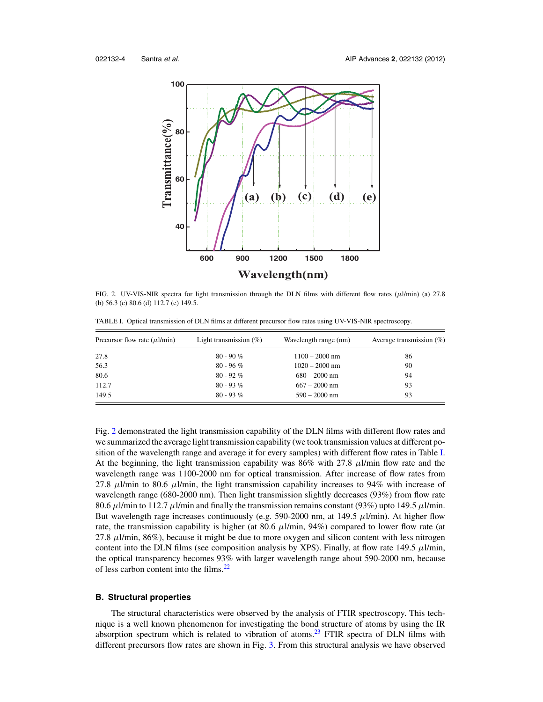

FIG. 2. UV-VIS-NIR spectra for light transmission through the DLN films with different flow rates ( $\mu$ l/min) (a) 27.8 (b) 56.3 (c) 80.6 (d) 112.7 (e) 149.5.

| Precursor flow rate $(\mu l/min)$ | Light transmission $(\%)$ | Wavelength range (nm) | Average transmission $(\%)$ |
|-----------------------------------|---------------------------|-----------------------|-----------------------------|
| 27.8                              | $80 - 90 \%$              | $1100 - 2000$ nm      | 86                          |
| 56.3                              | $80 - 96\%$               | $1020 - 2000$ nm      | 90                          |
| 80.6                              | $80 - 92\%$               | $680 - 2000$ nm       | 94                          |
| 112.7                             | $80 - 93\%$               | $667 - 2000$ nm       | 93                          |
| 149.5                             | $80 - 93\%$               | $590 - 2000$ nm       | 93                          |

TABLE I. Optical transmission of DLN films at different precursor flow rates using UV-VIS-NIR spectroscopy.

Fig. 2 demonstrated the light transmission capability of the DLN films with different flow rates and we summarized the average light transmission capability (we took transmission values at different position of the wavelength range and average it for every samples) with different flow rates in Table I. At the beginning, the light transmission capability was  $86\%$  with 27.8  $\mu$ l/min flow rate and the wavelength range was 1100-2000 nm for optical transmission. After increase of flow rates from 27.8  $\mu$ l/min to 80.6  $\mu$ l/min, the light transmission capability increases to 94% with increase of wavelength range (680-2000 nm). Then light transmission slightly decreases (93%) from flow rate 80.6  $\mu$ I/min to 112.7  $\mu$ I/min and finally the transmission remains constant (93%) upto 149.5  $\mu$ I/min. But wavelength rage increases continuously (e.g. 590-2000 nm, at 149.5  $\mu$ l/min). At higher flow rate, the transmission capability is higher (at  $80.6 \mu l/min$ ,  $94\%$ ) compared to lower flow rate (at 27.8  $\mu$ l/min, 86%), because it might be due to more oxygen and silicon content with less nitrogen content into the DLN films (see composition analysis by XPS). Finally, at flow rate 149.5  $\mu$ l/min, the optical transparency becomes 93% with larger wavelength range about 590-2000 nm, because of less carbon content into the films.<sup>22</sup>

## **B. Structural properties**

The structural characteristics were observed by the analysis of FTIR spectroscopy. This technique is a well known phenomenon for investigating the bond structure of atoms by using the IR absorption spectrum which is related to vibration of atoms.<sup>23</sup> FTIR spectra of DLN films with different precursors flow rates are shown in Fig. 3. From this structural analysis we have observed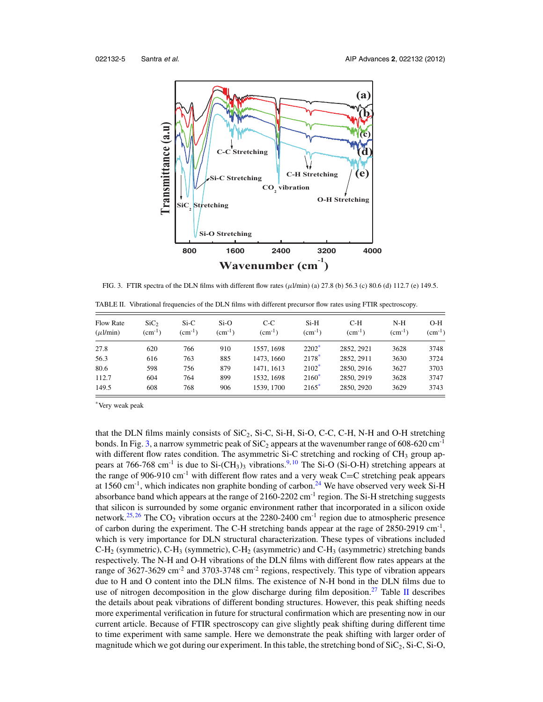

FIG. 3. FTIR spectra of the DLN films with different flow rates ( $\mu$ l/min) (a) 27.8 (b) 56.3 (c) 80.6 (d) 112.7 (e) 149.5.

| TABLE II. Vibrational frequencies of the DLN films with different precursor flow rates using FTIR spectroscopy. |  |  |  |
|-----------------------------------------------------------------------------------------------------------------|--|--|--|
|                                                                                                                 |  |  |  |

| <b>Flow Rate</b><br>$(\mu l/min)$ | SiC <sub>2</sub><br>$\rm (cm^{-1})$ | $Si-C$<br>$\rm (cm^{-1})$ | $Si-O$<br>$\rm (cm^{-1})$ | $C-C$<br>$\rm (cm^{-1})$ | $Si-H$<br>$\rm (cm^{-1})$ | $C-H$<br>$(cm^{-1})$ | $N-H$<br>$\rm (cm^{-1})$ | $O-H$<br>$(cm^{-1})$ |
|-----------------------------------|-------------------------------------|---------------------------|---------------------------|--------------------------|---------------------------|----------------------|--------------------------|----------------------|
| 27.8                              | 620                                 | 766                       | 910                       | 1557, 1698               | $2202^*$                  | 2852, 2921           | 3628                     | 3748                 |
| 56.3                              | 616                                 | 763                       | 885                       | 1473, 1660               | $2178*$                   | 2852, 2911           | 3630                     | 3724                 |
| 80.6                              | 598                                 | 756                       | 879                       | 1471, 1613               | $2102*$                   | 2850, 2916           | 3627                     | 3703                 |
| 112.7                             | 604                                 | 764                       | 899                       | 1532, 1698               | $2160*$                   | 2850, 2919           | 3628                     | 3747                 |
| 149.5                             | 608                                 | 768                       | 906                       | 1539, 1700               | $2165*$                   | 2850, 2920           | 3629                     | 3743                 |

\*Very weak peak

that the DLN films mainly consists of  $SiC<sub>2</sub>$ ,  $Si-C$ ,  $Si-H$ ,  $Si-O$ ,  $C-C$ ,  $C-H$ ,  $N-H$  and  $O-H$  stretching bonds. In Fig. 3, a narrow symmetric peak of  $SiC_2$  appears at the wavenumber range of 608-620 cm<sup>-1</sup> with different flow rates condition. The asymmetric Si-C stretching and rocking of  $CH<sub>3</sub>$  group appears at 766-768 cm<sup>-1</sup> is due to Si-(CH<sub>3</sub>)<sub>3</sub> vibrations.<sup>9, 10</sup> The Si-O (Si-O-H) stretching appears at the range of 906-910 cm<sup>-1</sup> with different flow rates and a very weak  $C=C$  stretching peak appears at 1560 cm<sup>-1</sup>, which indicates non graphite bonding of carbon.<sup>24</sup> We have observed very week Si-H absorbance band which appears at the range of 2160-2202 cm<sup>-1</sup> region. The Si-H stretching suggests that silicon is surrounded by some organic environment rather that incorporated in a silicon oxide network.<sup>25, 26</sup> The  $CO_2$  vibration occurs at the 2280-2400 cm<sup>-1</sup> region due to atmospheric presence of carbon during the experiment. The C-H stretching bands appear at the rage of 2850-2919 cm<sup>-1</sup>, which is very importance for DLN structural characterization. These types of vibrations included  $C-H_2$  (symmetric),  $C-H_3$  (symmetric),  $C-H_2$  (asymmetric) and  $C-H_3$  (asymmetric) stretching bands respectively. The N-H and O-H vibrations of the DLN films with different flow rates appears at the range of 3627-3629 cm<sup>-2</sup> and 3703-3748 cm<sup>-2</sup> regions, respectively. This type of vibration appears due to H and O content into the DLN films. The existence of N-H bond in the DLN films due to use of nitrogen decomposition in the glow discharge during film deposition.<sup>27</sup> Table II describes the details about peak vibrations of different bonding structures. However, this peak shifting needs more experimental verification in future for structural confirmation which are presenting now in our current article. Because of FTIR spectroscopy can give slightly peak shifting during different time to time experiment with same sample. Here we demonstrate the peak shifting with larger order of magnitude which we got during our experiment. In this table, the stretching bond of  $SiC_2$ ,  $Si-C$ ,  $Si-O$ ,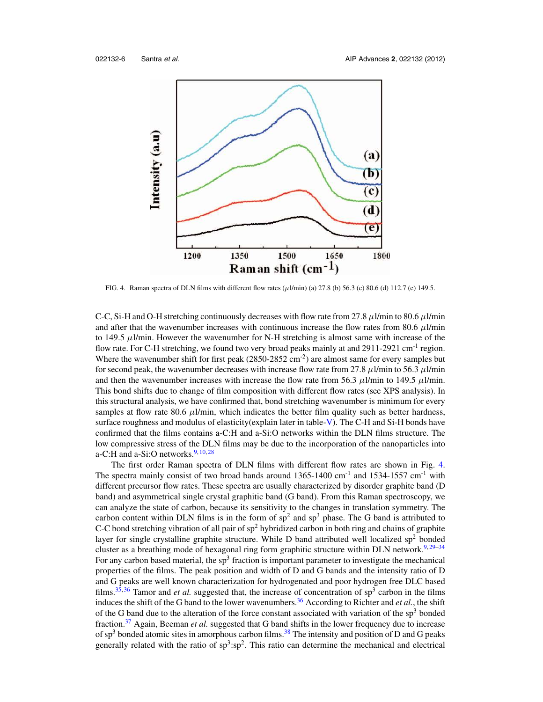

FIG. 4. Raman spectra of DLN films with different flow rates  $(\mu\text{l/min})$  (a) 27.8 (b) 56.3 (c) 80.6 (d) 112.7 (e) 149.5.

C-C, Si-H and O-H stretching continuously decreases with flow rate from 27.8  $\mu$ l/min to 80.6  $\mu$ l/min and after that the wavenumber increases with continuous increase the flow rates from 80.6  $\mu$ l/min to 149.5  $\mu$ l/min. However the wavenumber for N-H stretching is almost same with increase of the flow rate. For C-H stretching, we found two very broad peaks mainly at and  $2911-2921$  cm<sup>-1</sup> region. Where the wavenumber shift for first peak  $(2850-2852 \text{ cm}^{-2})$  are almost same for every samples but for second peak, the wavenumber decreases with increase flow rate from 27.8  $\mu$ l/min to 56.3  $\mu$ l/min and then the wavenumber increases with increase the flow rate from 56.3  $\mu$ l/min to 149.5  $\mu$ l/min. This bond shifts due to change of film composition with different flow rates (see XPS analysis). In this structural analysis, we have confirmed that, bond stretching wavenumber is minimum for every samples at flow rate 80.6  $\mu$ l/min, which indicates the better film quality such as better hardness, surface roughness and modulus of elasticity(explain later in table-V). The C-H and Si-H bonds have confirmed that the films contains a-C:H and a-Si:O networks within the DLN films structure. The low compressive stress of the DLN films may be due to the incorporation of the nanoparticles into a-C:H and a-Si:O networks. $9,10,28$ 

The first order Raman spectra of DLN films with different flow rates are shown in Fig. 4. The spectra mainly consist of two broad bands around  $1365-1400$  cm<sup>-1</sup> and  $1534-1557$  cm<sup>-1</sup> with different precursor flow rates. These spectra are usually characterized by disorder graphite band (D band) and asymmetrical single crystal graphitic band (G band). From this Raman spectroscopy, we can analyze the state of carbon, because its sensitivity to the changes in translation symmetry. The carbon content within DLN films is in the form of  $sp<sup>2</sup>$  and  $sp<sup>3</sup>$  phase. The G band is attributed to C-C bond stretching vibration of all pair of  $sp^2$  hybridized carbon in both ring and chains of graphite layer for single crystalline graphite structure. While D band attributed well localized  $sp<sup>2</sup>$  bonded cluster as a breathing mode of hexagonal ring form graphitic structure within DLN network.<sup>9,29-34</sup> For any carbon based material, the  $sp<sup>3</sup>$  fraction is important parameter to investigate the mechanical properties of the films. The peak position and width of D and G bands and the intensity ratio of D and G peaks are well known characterization for hydrogenated and poor hydrogen free DLC based films.<sup>35, 36</sup> Tamor and *et al.* suggested that, the increase of concentration of  $sp<sup>3</sup>$  carbon in the films induces the shift of the G band to the lower wavenumbers.<sup>36</sup> According to Richter and *et al.*, the shift of the G band due to the alteration of the force constant associated with variation of the  $sp<sup>3</sup>$  bonded fraction.<sup>37</sup> Again, Beeman *et al.* suggested that G band shifts in the lower frequency due to increase of  $sp<sup>3</sup>$  bonded atomic sites in amorphous carbon films.<sup>38</sup> The intensity and position of D and G peaks generally related with the ratio of  $sp^3:sp^2$ . This ratio can determine the mechanical and electrical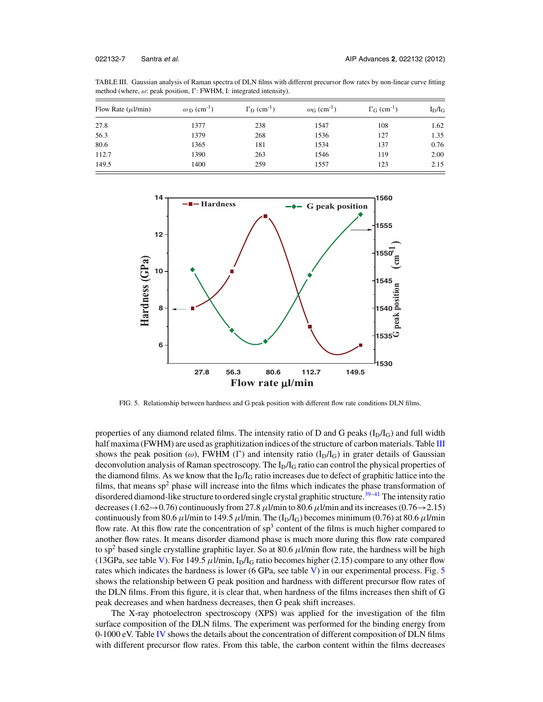| TABLE III. Gaussian analysis of Raman spectra of DLN films with different precursor flow rates by non-linear curve fitting |  |  |  |
|----------------------------------------------------------------------------------------------------------------------------|--|--|--|
| method (where, $\omega$ : peak position, $\Gamma$ : FWHM, I: integrated intensity).                                        |  |  |  |

| Flow Rate $(\mu l/min)$ | $\omega_{\rm D}$ (cm <sup>-1</sup> ) | $\Gamma_{\text{D}}$ (cm <sup>-1</sup> ) | $\omega$ <sub>G</sub> (cm <sup>-1</sup> ) | $\Gamma$ <sub>G</sub> (cm <sup>-1</sup> ) | $I_D/I_G$ |
|-------------------------|--------------------------------------|-----------------------------------------|-------------------------------------------|-------------------------------------------|-----------|
| 27.8                    | 1377                                 | 238                                     | 1547                                      | 108                                       | 1.62      |
| 56.3                    | 1379                                 | 268                                     | 1536                                      | 127                                       | 1.35      |
| 80.6                    | 1365                                 | 181                                     | 1534                                      | 137                                       | 0.76      |
| 112.7                   | 1390                                 | 263                                     | 1546                                      | 119                                       | 2.00      |
| 149.5                   | 1400                                 | 259                                     | 1557                                      | 123                                       | 2.15      |



FIG. 5. Relationship between hardness and G peak position with different flow rate conditions DLN films.

properties of any diamond related films. The intensity ratio of D and G peaks  $(I_D/I_G)$  and full width half maxima (FWHM) are used as graphitization indices of the structure of carbon materials. Table III shows the peak position ( $\omega$ ), FWHM (Γ) and intensity ratio (I<sub>D</sub>/I<sub>G</sub>) in grater details of Gaussian deconvolution analysis of Raman spectroscopy. The  $I<sub>D</sub>/I<sub>G</sub>$  ratio can control the physical properties of the diamond films. As we know that the  $I_D/I_G$  ratio increases due to defect of graphitic lattice into the films, that means  $sp^2$  phase will increase into the films which indicates the phase transformation of disordered diamond-like structure to ordered single crystal graphitic structure.<sup>39–41</sup> The intensity ratio decreases (1.62 $\rightarrow$ 0.76) continuously from 27.8  $\mu$ l/min to 80.6  $\mu$ l/min and its increases (0.76 $\rightarrow$ 2.15) continuously from 80.6  $\mu$ l/min to 149.5  $\mu$ l/min. The (I<sub>D</sub>/I<sub>G</sub>) becomes minimum (0.76) at 80.6  $\mu$ l/min flow rate. At this flow rate the concentration of  $sp<sup>3</sup>$  content of the films is much higher compared to another flow rates. It means disorder diamond phase is much more during this flow rate compared to sp<sup>2</sup> based single crystalline graphitic layer. So at 80.6  $\mu$ l/min flow rate, the hardness will be high (13GPa, see table V). For 149.5  $\mu$ l/min, I<sub>D</sub>/I<sub>G</sub> ratio becomes higher (2.15) compare to any other flow rates which indicates the hardness is lower (6 GPa, see table V) in our experimental process. Fig. 5 shows the relationship between G peak position and hardness with different precursor flow rates of the DLN films. From this figure, it is clear that, when hardness of the films increases then shift of G peak decreases and when hardness decreases, then G peak shift increases.

The X-ray photoelectron spectroscopy (XPS) was applied for the investigation of the film surface composition of the DLN films. The experiment was performed for the binding energy from 0-1000 eV. Table IV shows the details about the concentration of different composition of DLN films with different precursor flow rates. From this table, the carbon content within the films decreases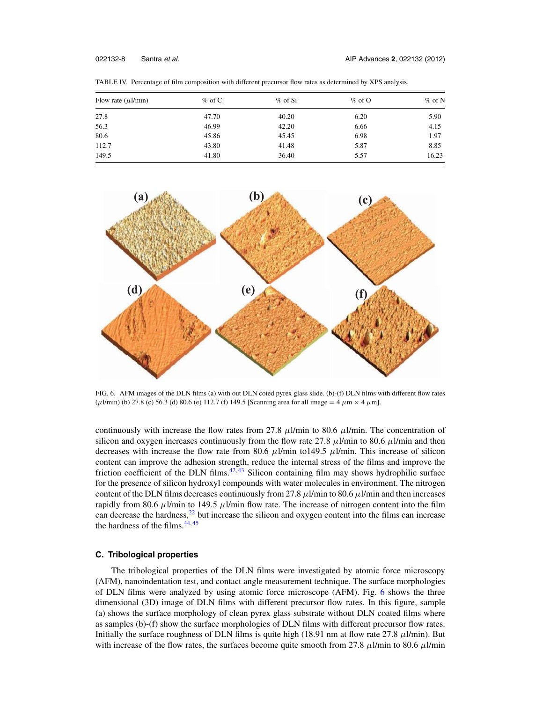| Flow rate $(\mu l/min)$ | $\%$ of C | $%$ of Si | $\%$ of O | $\%$ of N |
|-------------------------|-----------|-----------|-----------|-----------|
| 27.8                    | 47.70     | 40.20     | 6.20      | 5.90      |
| 56.3                    | 46.99     | 42.20     | 6.66      | 4.15      |
| 80.6                    | 45.86     | 45.45     | 6.98      | 1.97      |
| 112.7                   | 43.80     | 41.48     | 5.87      | 8.85      |
| 149.5                   | 41.80     | 36.40     | 5.57      | 16.23     |

TABLE IV. Percentage of film composition with different precursor flow rates as determined by XPS analysis.



FIG. 6. AFM images of the DLN films (a) with out DLN coted pyrex glass slide. (b)-(f) DLN films with different flow rates ( $\mu$ l/min) (b) 27.8 (c) 56.3 (d) 80.6 (e) 112.7 (f) 149.5 [Scanning area for all image = 4  $\mu$ m × 4  $\mu$ m].

continuously with increase the flow rates from 27.8  $\mu$ l/min to 80.6  $\mu$ l/min. The concentration of silicon and oxygen increases continuously from the flow rate 27.8  $\mu$ l/min to 80.6  $\mu$ l/min and then decreases with increase the flow rate from 80.6  $\mu$ l/min to149.5  $\mu$ l/min. This increase of silicon content can improve the adhesion strength, reduce the internal stress of the films and improve the friction coefficient of the DLN films. $42,43$  Silicon containing film may shows hydrophilic surface for the presence of silicon hydroxyl compounds with water molecules in environment. The nitrogen content of the DLN films decreases continuously from 27.8  $\mu$ l/min to 80.6  $\mu$ l/min and then increases rapidly from 80.6  $\mu$ l/min to 149.5  $\mu$ l/min flow rate. The increase of nitrogen content into the film can decrease the hardness, $22$  but increase the silicon and oxygen content into the films can increase the hardness of the films.<sup>44,45</sup>

# **C. Tribological properties**

The tribological properties of the DLN films were investigated by atomic force microscopy (AFM), nanoindentation test, and contact angle measurement technique. The surface morphologies of DLN films were analyzed by using atomic force microscope (AFM). Fig. 6 shows the three dimensional (3D) image of DLN films with different precursor flow rates. In this figure, sample (a) shows the surface morphology of clean pyrex glass substrate without DLN coated films where as samples (b)-(f) show the surface morphologies of DLN films with different precursor flow rates. Initially the surface roughness of DLN films is quite high (18.91 nm at flow rate 27.8  $\mu$ I/min). But with increase of the flow rates, the surfaces become quite smooth from 27.8  $\mu$ l/min to 80.6  $\mu$ l/min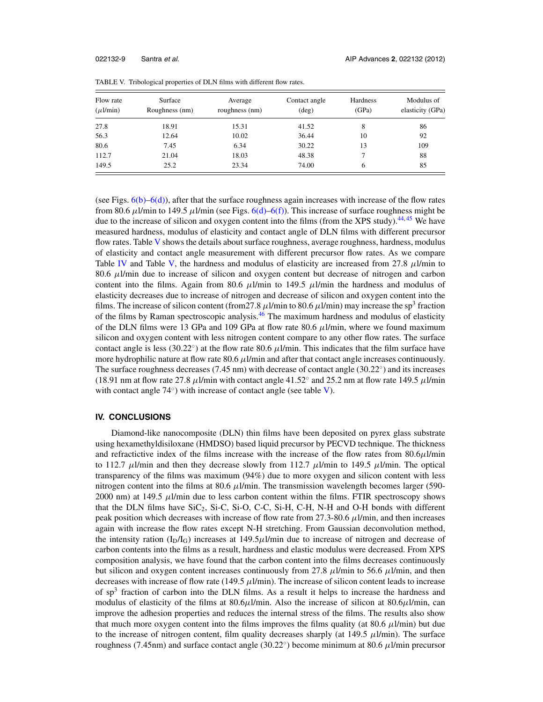| Flow rate<br>$(\mu l/min)$ | Surface<br>Roughness (nm) | Average<br>roughness (nm) | Contact angle<br>$(\text{deg})$ | Hardness<br>(GPa) | Modulus of<br>elasticity (GPa) |
|----------------------------|---------------------------|---------------------------|---------------------------------|-------------------|--------------------------------|
| 27.8                       | 18.91                     | 15.31                     | 41.52                           | 8                 | 86                             |
| 56.3                       | 12.64                     | 10.02                     | 36.44                           | 10                | 92                             |
| 80.6                       | 7.45                      | 6.34                      | 30.22                           | 13                | 109                            |
| 112.7                      | 21.04                     | 18.03                     | 48.38                           |                   | 88                             |
| 149.5                      | 25.2                      | 23.34                     | 74.00                           | 6                 | 85                             |

TABLE V. Tribological properties of DLN films with different flow rates.

(see Figs. 6(b)–6(d)), after that the surface roughness again increases with increase of the flow rates from 80.6  $\mu$ l/min to 149.5  $\mu$ l/min (see Figs. 6(d)–6(f)). This increase of surface roughness might be due to the increase of silicon and oxygen content into the films (from the XPS study).<sup>44,45</sup> We have measured hardness, modulus of elasticity and contact angle of DLN films with different precursor flow rates. Table V shows the details about surface roughness, average roughness, hardness, modulus of elasticity and contact angle measurement with different precursor flow rates. As we compare Table IV and Table V, the hardness and modulus of elasticity are increased from 27.8  $\mu$ I/min to 80.6  $\mu$ l/min due to increase of silicon and oxygen content but decrease of nitrogen and carbon content into the films. Again from 80.6  $\mu$ l/min to 149.5  $\mu$ l/min the hardness and modulus of elasticity decreases due to increase of nitrogen and decrease of silicon and oxygen content into the films. The increase of silicon content (from 27.8  $\mu$  l/min to 80.6  $\mu$  l/min) may increase the sp<sup>3</sup> fraction of the films by Raman spectroscopic analysis.<sup>46</sup> The maximum hardness and modulus of elasticity of the DLN films were 13 GPa and 109 GPa at flow rate 80.6  $\mu$ l/min, where we found maximum silicon and oxygen content with less nitrogen content compare to any other flow rates. The surface contact angle is less (30.22 $^{\circ}$ ) at the flow rate 80.6  $\mu$ l/min. This indicates that the film surface have more hydrophilic nature at flow rate 80.6  $\mu$ l/min and after that contact angle increases continuously. The surface roughness decreases (7.45 nm) with decrease of contact angle (30.22°) and its increases (18.91 nm at flow rate 27.8  $\mu$ I/min with contact angle 41.52 $^{\circ}$  and 25.2 nm at flow rate 149.5  $\mu$ I/min with contact angle  $74^\circ$ ) with increase of contact angle (see table V).

### **IV. CONCLUSIONS**

Diamond-like nanocomposite (DLN) thin films have been deposited on pyrex glass substrate using hexamethyldisiloxane (HMDSO) based liquid precursor by PECVD technique. The thickness and refractictive index of the films increase with the increase of the flow rates from  $80.6\mu$ l/min to 112.7  $\mu$ *l*/min and then they decrease slowly from 112.7  $\mu$ *l*/min to 149.5  $\mu$ *l*/min. The optical transparency of the films was maximum (94%) due to more oxygen and silicon content with less nitrogen content into the films at 80.6  $\mu$ *l*/min. The transmission wavelength becomes larger (590-2000 nm) at 149.5  $\mu$ l/min due to less carbon content within the films. FTIR spectroscopy shows that the DLN films have  $SiC_2$ ,  $Si-C$ ,  $Si-O$ ,  $C-C$ ,  $Si-H$ ,  $C-H$ ,  $N-H$  and  $O-H$  bonds with different peak position which decreases with increase of flow rate from 27.3-80.6  $\mu$ l/min, and then increases again with increase the flow rates except N-H stretching. From Gaussian deconvolution method, the intensity ration  $(I_D/I_G)$  increases at 149.5 $\mu$ l/min due to increase of nitrogen and decrease of carbon contents into the films as a result, hardness and elastic modulus were decreased. From XPS composition analysis, we have found that the carbon content into the films decreases continuously but silicon and oxygen content increases continuously from 27.8  $\mu$ *l*/min to 56.6  $\mu$ *l*/min, and then decreases with increase of flow rate (149.5  $\mu$ l/min). The increase of silicon content leads to increase of sp<sup>3</sup> fraction of carbon into the DLN films. As a result it helps to increase the hardness and modulus of elasticity of the films at  $80.6\mu$ l/min. Also the increase of silicon at  $80.6\mu$ l/min, can improve the adhesion properties and reduces the internal stress of the films. The results also show that much more oxygen content into the films improves the films quality (at 80.6  $\mu$ l/min) but due to the increase of nitrogen content, film quality decreases sharply (at 149.5  $\mu$ l/min). The surface roughness (7.45nm) and surface contact angle (30.22 $^{\circ}$ ) become minimum at 80.6  $\mu$ l/min precursor